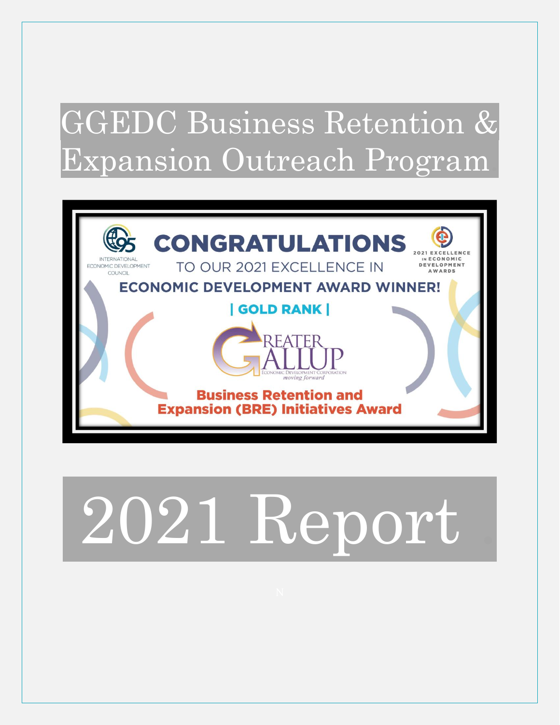# GGEDC Business Retention & Expansion Outreach Program.



# 2021 Report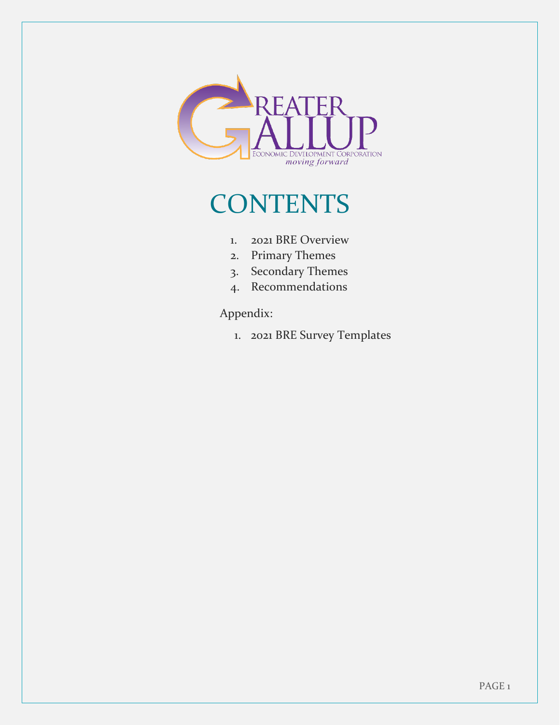

### **CONTENTS**

- 1. 2021 BRE Overview
- 2. Primary Themes
- 3. Secondary Themes
- 4. Recommendations

#### Appendix:

1. 2021 BRE Survey Templates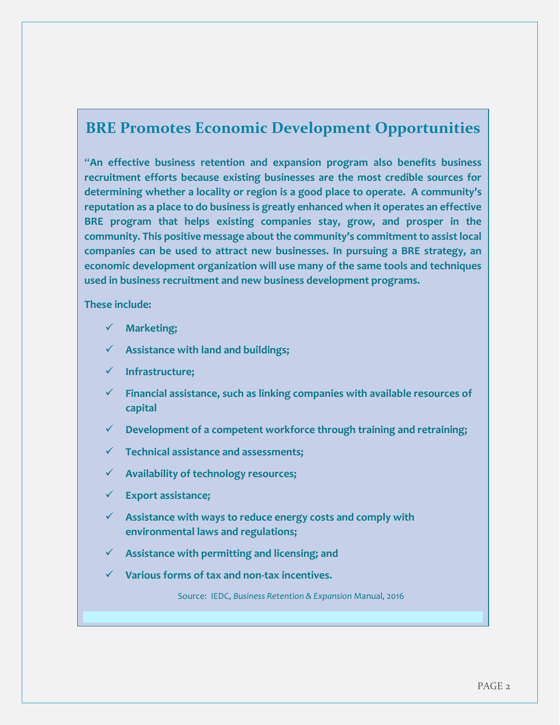#### **BRE Promotes Economic Development Opportunities**

"**An effective business retention and expansion program also benefits business recruitment efforts because existing businesses are the most credible sources for determining whether a locality or region is a good place to operate. A community's reputation as a place to do business is greatly enhanced when it operates an effective BRE program that helps existing companies stay, grow, and prosper in the community. This positive message about the community's commitment to assist local companies can be used to attract new businesses. In pursuing a BRE strategy, an economic development organization will use many of the same tools and techniques used in business recruitment and new business development programs.** 

#### **These include:**

- ✓ **Marketing;**
- ✓ **Assistance with land and buildings;**
- ✓ **Infrastructure;**
- ✓ **Financial assistance, such as linking companies with available resources of capital**
- ✓ **Development of a competent workforce through training and retraining;**
- ✓ **Technical assistance and assessments;**
- ✓ **Availability of technology resources;**
- ✓ **Export assistance;**
- ✓ **Assistance with ways to reduce energy costs and comply with environmental laws and regulations;**
- ✓ **Assistance with permitting and licensing; and**
- ✓ **Various forms of tax and non-tax incentives.**

Source: IEDC, *Business Retention & Expansion* Manual*,* 2016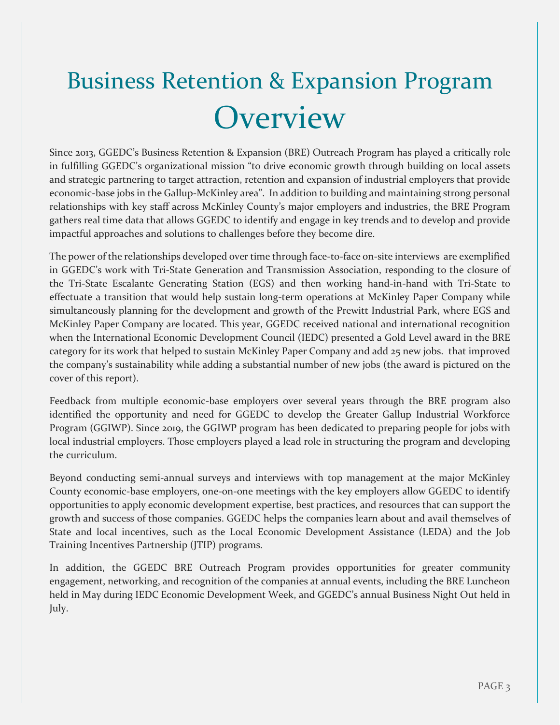# Business Retention & Expansion Program **Overview**

Since 2013, GGEDC's Business Retention & Expansion (BRE) Outreach Program has played a critically role in fulfilling GGEDC's organizational mission "to drive economic growth through building on local assets and strategic partnering to target attraction, retention and expansion of industrial employers that provide economic-base jobs in the Gallup-McKinley area". In addition to building and maintaining strong personal relationships with key staff across McKinley County's major employers and industries, the BRE Program gathers real time data that allows GGEDC to identify and engage in key trends and to develop and provide impactful approaches and solutions to challenges before they become dire.

The power of the relationships developed over time through face-to-face on-site interviews are exemplified in GGEDC's work with Tri-State Generation and Transmission Association, responding to the closure of the Tri-State Escalante Generating Station (EGS) and then working hand-in-hand with Tri-State to effectuate a transition that would help sustain long-term operations at McKinley Paper Company while simultaneously planning for the development and growth of the Prewitt Industrial Park, where EGS and McKinley Paper Company are located. This year, GGEDC received national and international recognition when the International Economic Development Council (IEDC) presented a Gold Level award in the BRE category for its work that helped to sustain McKinley Paper Company and add 25 new jobs. that improved the company's sustainability while adding a substantial number of new jobs (the award is pictured on the cover of this report).

Feedback from multiple economic-base employers over several years through the BRE program also identified the opportunity and need for GGEDC to develop the Greater Gallup Industrial Workforce Program (GGIWP). Since 2019, the GGIWP program has been dedicated to preparing people for jobs with local industrial employers. Those employers played a lead role in structuring the program and developing the curriculum.

Beyond conducting semi-annual surveys and interviews with top management at the major McKinley County economic-base employers, one-on-one meetings with the key employers allow GGEDC to identify opportunities to apply economic development expertise, best practices, and resources that can support the growth and success of those companies. GGEDC helps the companies learn about and avail themselves of State and local incentives, such as the Local Economic Development Assistance (LEDA) and the Job Training Incentives Partnership (JTIP) programs.

In addition, the GGEDC BRE Outreach Program provides opportunities for greater community engagement, networking, and recognition of the companies at annual events, including the BRE Luncheon held in May during IEDC Economic Development Week, and GGEDC's annual Business Night Out held in July.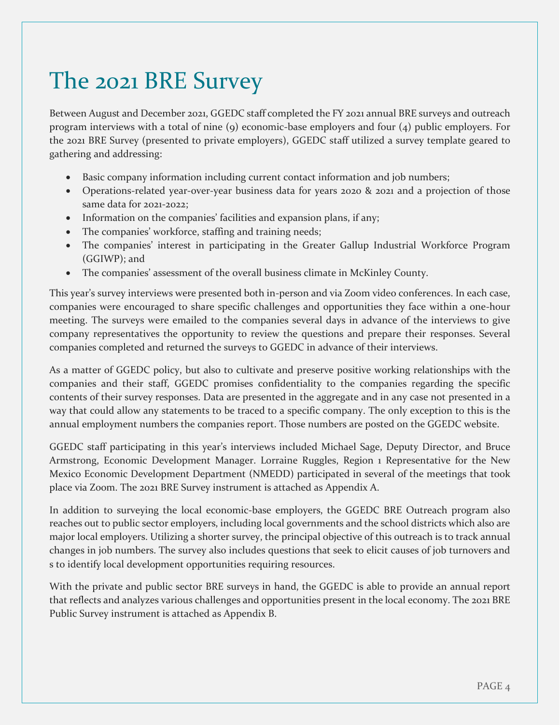### The 2021 BRE Survey

Between August and December 2021, GGEDC staff completed the FY 2021 annual BRE surveys and outreach program interviews with a total of nine (9) economic-base employers and four (4) public employers. For the 2021 BRE Survey (presented to private employers), GGEDC staff utilized a survey template geared to gathering and addressing:

- Basic company information including current contact information and job numbers;
- Operations-related year-over-year business data for years 2020 & 2021 and a projection of those same data for 2021-2022;
- Information on the companies' facilities and expansion plans, if any;
- The companies' workforce, staffing and training needs;
- The companies' interest in participating in the Greater Gallup Industrial Workforce Program (GGIWP); and
- The companies' assessment of the overall business climate in McKinley County.

This year's survey interviews were presented both in-person and via Zoom video conferences. In each case, companies were encouraged to share specific challenges and opportunities they face within a one-hour meeting. The surveys were emailed to the companies several days in advance of the interviews to give company representatives the opportunity to review the questions and prepare their responses. Several companies completed and returned the surveys to GGEDC in advance of their interviews.

As a matter of GGEDC policy, but also to cultivate and preserve positive working relationships with the companies and their staff, GGEDC promises confidentiality to the companies regarding the specific contents of their survey responses. Data are presented in the aggregate and in any case not presented in a way that could allow any statements to be traced to a specific company. The only exception to this is the annual employment numbers the companies report. Those numbers are posted on the GGEDC website.

GGEDC staff participating in this year's interviews included Michael Sage, Deputy Director, and Bruce Armstrong, Economic Development Manager. Lorraine Ruggles, Region 1 Representative for the New Mexico Economic Development Department (NMEDD) participated in several of the meetings that took place via Zoom. The 2021 BRE Survey instrument is attached as Appendix A.

In addition to surveying the local economic-base employers, the GGEDC BRE Outreach program also reaches out to public sector employers, including local governments and the school districts which also are major local employers. Utilizing a shorter survey, the principal objective of this outreach is to track annual changes in job numbers. The survey also includes questions that seek to elicit causes of job turnovers and s to identify local development opportunities requiring resources.

With the private and public sector BRE surveys in hand, the GGEDC is able to provide an annual report that reflects and analyzes various challenges and opportunities present in the local economy. The 2021 BRE Public Survey instrument is attached as Appendix B.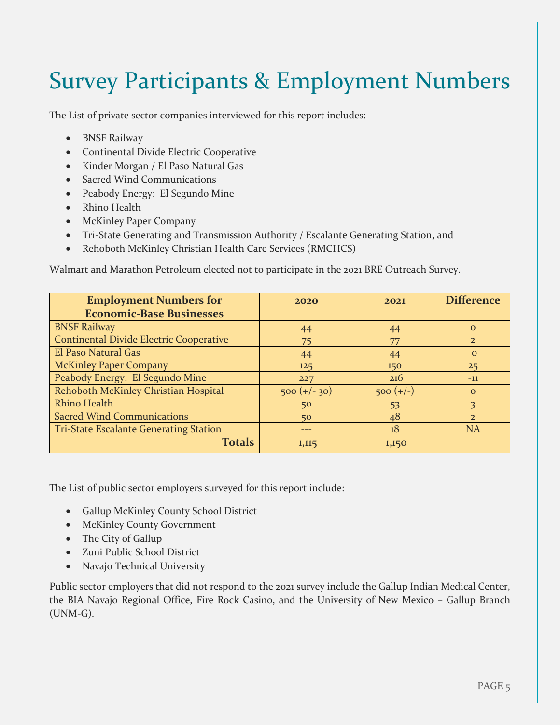### Survey Participants & Employment Numbers

The List of private sector companies interviewed for this report includes:

- BNSF Railway
- Continental Divide Electric Cooperative
- Kinder Morgan / El Paso Natural Gas
- Sacred Wind Communications
- Peabody Energy: El Segundo Mine
- Rhino Health
- McKinley Paper Company
- Tri-State Generating and Transmission Authority / Escalante Generating Station, and
- Rehoboth McKinley Christian Health Care Services (RMCHCS)

Walmart and Marathon Petroleum elected not to participate in the 2021 BRE Outreach Survey.

| <b>Employment Numbers for</b>                  | 2020           | 2021        | <b>Difference</b> |
|------------------------------------------------|----------------|-------------|-------------------|
| <b>Economic-Base Businesses</b>                |                |             |                   |
| <b>BNSF Railway</b>                            | 44             | 44          | $\Omega$          |
| <b>Continental Divide Electric Cooperative</b> | 75             | 77          | $\overline{2}$    |
| El Paso Natural Gas                            | 44             | 44          | $\mathbf{O}$      |
| <b>McKinley Paper Company</b>                  | 125            | 150         | 25                |
| Peabody Energy: El Segundo Mine                | 227            | 216         | $-11$             |
| Rehoboth McKinley Christian Hospital           | $500 (+/- 30)$ | $500 (+/-)$ | $\Omega$          |
| <b>Rhino Health</b>                            | 50             | 53          |                   |
| <b>Sacred Wind Communications</b>              | 50             | 48          | $\overline{2}$    |
| <b>Tri-State Escalante Generating Station</b>  | ---            | 18          | <b>NA</b>         |
| <b>Totals</b>                                  | 1,115          | 1,150       |                   |

The List of public sector employers surveyed for this report include:

- Gallup McKinley County School District
- McKinley County Government
- The City of Gallup
- Zuni Public School District
- Navajo Technical University

Public sector employers that did not respond to the 2021 survey include the Gallup Indian Medical Center, the BIA Navajo Regional Office, Fire Rock Casino, and the University of New Mexico – Gallup Branch (UNM-G).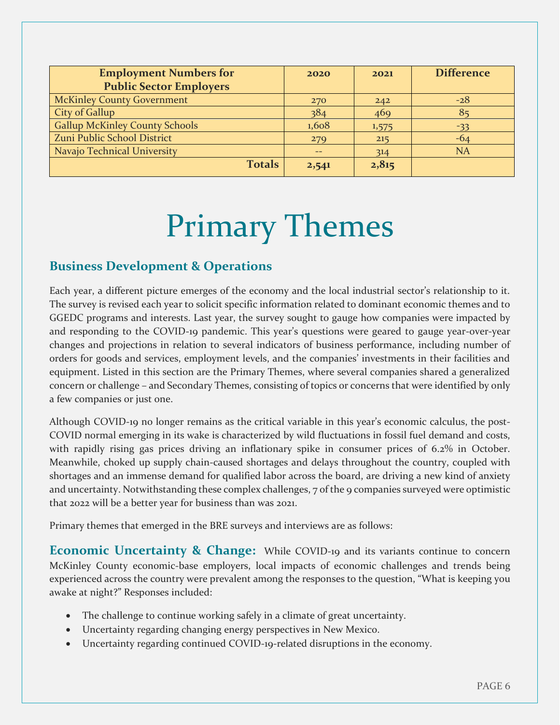| 2020          | 2021  | <b>Difference</b> |
|---------------|-------|-------------------|
|               |       |                   |
| 270           | 242   | $-28$             |
| 384           | 469   | 85                |
| 1,608         | 1,575 | $-33$             |
| 279           | 215   | $-64$             |
|               | 314   | <b>NA</b>         |
| 2,541         | 2,815 |                   |
| <b>Totals</b> |       |                   |

# Primary Themes

#### **Business Development & Operations**

Each year, a different picture emerges of the economy and the local industrial sector's relationship to it. The survey is revised each year to solicit specific information related to dominant economic themes and to GGEDC programs and interests. Last year, the survey sought to gauge how companies were impacted by and responding to the COVID-19 pandemic. This year's questions were geared to gauge year-over-year changes and projections in relation to several indicators of business performance, including number of orders for goods and services, employment levels, and the companies' investments in their facilities and equipment. Listed in this section are the Primary Themes, where several companies shared a generalized concern or challenge – and Secondary Themes, consisting of topics or concerns that were identified by only a few companies or just one.

Although COVID-19 no longer remains as the critical variable in this year's economic calculus, the post-COVID normal emerging in its wake is characterized by wild fluctuations in fossil fuel demand and costs, with rapidly rising gas prices driving an inflationary spike in consumer prices of 6.2% in October. Meanwhile, choked up supply chain-caused shortages and delays throughout the country, coupled with shortages and an immense demand for qualified labor across the board, are driving a new kind of anxiety and uncertainty. Notwithstanding these complex challenges, 7 of the 9 companies surveyed were optimistic that 2022 will be a better year for business than was 2021.

Primary themes that emerged in the BRE surveys and interviews are as follows:

**Economic Uncertainty & Change:** While COVID-19 and its variants continue to concern McKinley County economic-base employers, local impacts of economic challenges and trends being experienced across the country were prevalent among the responses to the question, "What is keeping you awake at night?" Responses included:

- The challenge to continue working safely in a climate of great uncertainty.
- Uncertainty regarding changing energy perspectives in New Mexico.
- Uncertainty regarding continued COVID-19-related disruptions in the economy.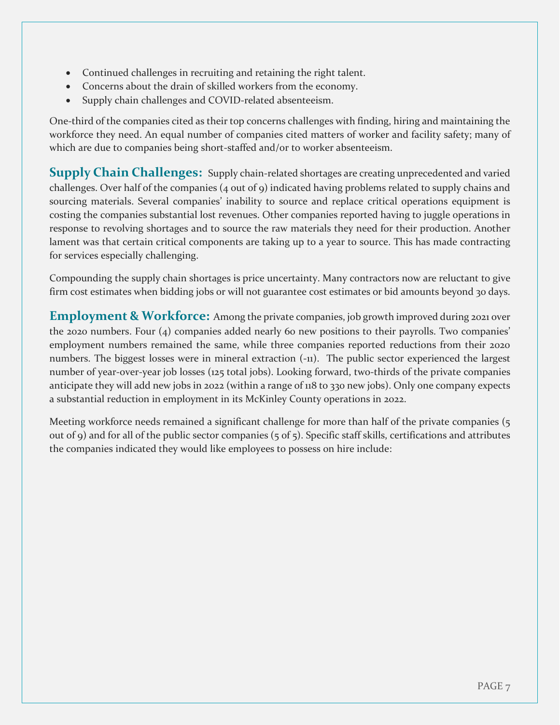- Continued challenges in recruiting and retaining the right talent.
- Concerns about the drain of skilled workers from the economy.
- Supply chain challenges and COVID-related absenteeism.

One-third of the companies cited as their top concerns challenges with finding, hiring and maintaining the workforce they need. An equal number of companies cited matters of worker and facility safety; many of which are due to companies being short-staffed and/or to worker absenteeism.

**Supply Chain Challenges:** Supply chain-related shortages are creating unprecedented and varied challenges. Over half of the companies (4 out of 9) indicated having problems related to supply chains and sourcing materials. Several companies' inability to source and replace critical operations equipment is costing the companies substantial lost revenues. Other companies reported having to juggle operations in response to revolving shortages and to source the raw materials they need for their production. Another lament was that certain critical components are taking up to a year to source. This has made contracting for services especially challenging.

Compounding the supply chain shortages is price uncertainty. Many contractors now are reluctant to give firm cost estimates when bidding jobs or will not guarantee cost estimates or bid amounts beyond 30 days.

**Employment & Workforce:** Among the private companies, job growth improved during 2021 over the 2020 numbers. Four (4) companies added nearly 60 new positions to their payrolls. Two companies' employment numbers remained the same, while three companies reported reductions from their 2020 numbers. The biggest losses were in mineral extraction (-11). The public sector experienced the largest number of year-over-year job losses (125 total jobs). Looking forward, two-thirds of the private companies anticipate they will add new jobs in 2022 (within a range of 118 to 330 new jobs). Only one company expects a substantial reduction in employment in its McKinley County operations in 2022.

Meeting workforce needs remained a significant challenge for more than half of the private companies (5) out of 9) and for all of the public sector companies (5 of 5). Specific staff skills, certifications and attributes the companies indicated they would like employees to possess on hire include: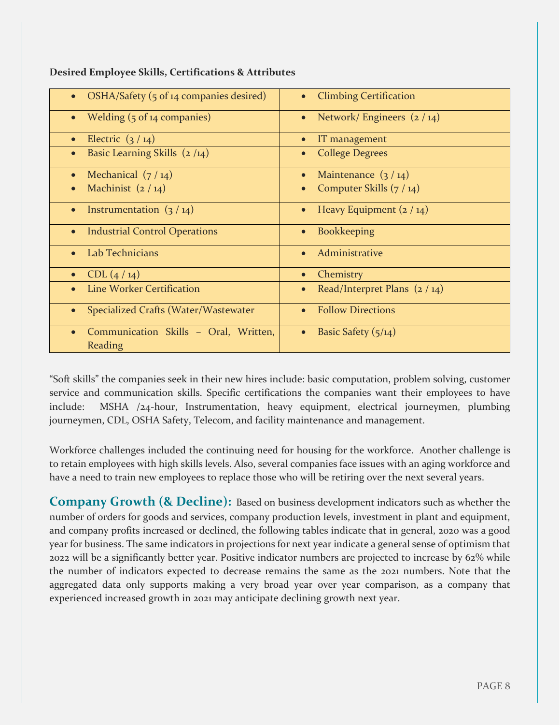| OSHA/Safety (5 of 14 companies desired)<br><b>Climbing Certification</b><br>$\bullet$<br>Welding (5 of 14 companies)<br>Network/Engineers (2/14)<br>$\bullet$<br>Electric $(3/14)$<br>IT management<br>$\bullet$<br>Basic Learning Skills $(2/14)$<br><b>College Degrees</b><br>Mechanical $(7/14)$<br>Maintenance $(3/14)$<br>$\bullet$<br>Machinist $(2/14)$<br>Computer Skills (7 / 14)<br>$\bullet$<br>$\bullet$<br>Heavy Equipment $(2 / 14)$<br>Instrumentation $(3/14)$<br>$\bullet$<br>$\bullet$<br><b>Industrial Control Operations</b><br><b>Bookkeeping</b><br>$\bullet$<br>$\bullet$<br>Lab Technicians<br>Administrative<br>$\bullet$<br>$\bullet$<br>CDL(4/14)<br>Chemistry<br>$\bullet$<br>$\bullet$<br><b>Line Worker Certification</b><br>Read/Interpret Plans $(2/14)$<br>$\bullet$<br><b>Follow Directions</b><br>Specialized Crafts (Water/Wastewater<br>$\bullet$<br>$\bullet$<br>Communication Skills - Oral, Written,<br>Basic Safety $(5/14)$<br>$\bullet$<br>$\bullet$<br>Reading |  |
|------------------------------------------------------------------------------------------------------------------------------------------------------------------------------------------------------------------------------------------------------------------------------------------------------------------------------------------------------------------------------------------------------------------------------------------------------------------------------------------------------------------------------------------------------------------------------------------------------------------------------------------------------------------------------------------------------------------------------------------------------------------------------------------------------------------------------------------------------------------------------------------------------------------------------------------------------------------------------------------------------------|--|
|                                                                                                                                                                                                                                                                                                                                                                                                                                                                                                                                                                                                                                                                                                                                                                                                                                                                                                                                                                                                            |  |
|                                                                                                                                                                                                                                                                                                                                                                                                                                                                                                                                                                                                                                                                                                                                                                                                                                                                                                                                                                                                            |  |
|                                                                                                                                                                                                                                                                                                                                                                                                                                                                                                                                                                                                                                                                                                                                                                                                                                                                                                                                                                                                            |  |
|                                                                                                                                                                                                                                                                                                                                                                                                                                                                                                                                                                                                                                                                                                                                                                                                                                                                                                                                                                                                            |  |
|                                                                                                                                                                                                                                                                                                                                                                                                                                                                                                                                                                                                                                                                                                                                                                                                                                                                                                                                                                                                            |  |
|                                                                                                                                                                                                                                                                                                                                                                                                                                                                                                                                                                                                                                                                                                                                                                                                                                                                                                                                                                                                            |  |
|                                                                                                                                                                                                                                                                                                                                                                                                                                                                                                                                                                                                                                                                                                                                                                                                                                                                                                                                                                                                            |  |
|                                                                                                                                                                                                                                                                                                                                                                                                                                                                                                                                                                                                                                                                                                                                                                                                                                                                                                                                                                                                            |  |
|                                                                                                                                                                                                                                                                                                                                                                                                                                                                                                                                                                                                                                                                                                                                                                                                                                                                                                                                                                                                            |  |
|                                                                                                                                                                                                                                                                                                                                                                                                                                                                                                                                                                                                                                                                                                                                                                                                                                                                                                                                                                                                            |  |
|                                                                                                                                                                                                                                                                                                                                                                                                                                                                                                                                                                                                                                                                                                                                                                                                                                                                                                                                                                                                            |  |
|                                                                                                                                                                                                                                                                                                                                                                                                                                                                                                                                                                                                                                                                                                                                                                                                                                                                                                                                                                                                            |  |
|                                                                                                                                                                                                                                                                                                                                                                                                                                                                                                                                                                                                                                                                                                                                                                                                                                                                                                                                                                                                            |  |

**Desired Employee Skills, Certifications & Attributes**

"Soft skills" the companies seek in their new hires include: basic computation, problem solving, customer service and communication skills. Specific certifications the companies want their employees to have include: MSHA /24-hour, Instrumentation, heavy equipment, electrical journeymen, plumbing journeymen, CDL, OSHA Safety, Telecom, and facility maintenance and management.

Workforce challenges included the continuing need for housing for the workforce. Another challenge is to retain employees with high skills levels. Also, several companies face issues with an aging workforce and have a need to train new employees to replace those who will be retiring over the next several years.

**Company Growth (& Decline):** Based on business development indicators such as whether the number of orders for goods and services, company production levels, investment in plant and equipment, and company profits increased or declined, the following tables indicate that in general, 2020 was a good year for business. The same indicators in projections for next year indicate a general sense of optimism that 2022 will be a significantly better year. Positive indicator numbers are projected to increase by 62% while the number of indicators expected to decrease remains the same as the 2021 numbers. Note that the aggregated data only supports making a very broad year over year comparison, as a company that experienced increased growth in 2021 may anticipate declining growth next year.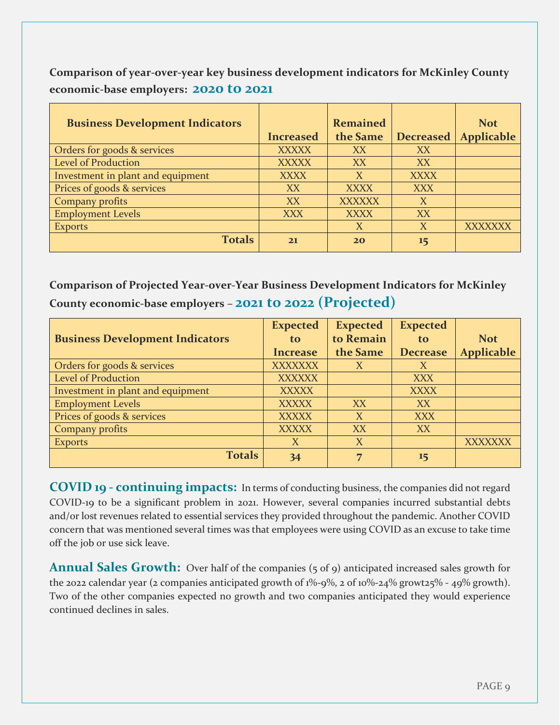**Comparison of year-over-year key business development indicators for McKinley County economic-base employers: 2020 to 2021**

| <b>Business Development Indicators</b> |                  | <b>Remained</b> |                  | <b>Not</b>        |
|----------------------------------------|------------------|-----------------|------------------|-------------------|
|                                        | <b>Increased</b> | the Same        | <b>Decreased</b> | <b>Applicable</b> |
| Orders for goods & services            | <b>XXXXX</b>     | XX              | XX               |                   |
| <b>Level of Production</b>             | <b>XXXXX</b>     | XX              | XX               |                   |
| Investment in plant and equipment      | <b>XXXX</b>      | X               | <b>XXXX</b>      |                   |
| Prices of goods & services             | XX               | <b>XXXX</b>     | XXX              |                   |
| Company profits                        | XX               | <b>XXXXXX</b>   | X                |                   |
| <b>Employment Levels</b>               | <b>XXX</b>       | <b>XXXX</b>     | XX               |                   |
| <b>Exports</b>                         |                  | X               | X                | <b>XXXXXXX</b>    |
| <b>Totals</b>                          | 21               | 20              | 15               |                   |

**Comparison of Projected Year-over-Year Business Development Indicators for McKinley County economic-base employers – 2021 to 2022 (Projected)**

|                                        | <b>Expected</b> | <b>Expected</b> | <b>Expected</b> |                   |
|----------------------------------------|-----------------|-----------------|-----------------|-------------------|
| <b>Business Development Indicators</b> | to.             | to Remain       | to.             | <b>Not</b>        |
|                                        | <b>Increase</b> | the Same        | <b>Decrease</b> | <b>Applicable</b> |
| Orders for goods & services            | <b>XXXXXXX</b>  | X               | X               |                   |
| <b>Level of Production</b>             | <b>XXXXXX</b>   |                 | <b>XXX</b>      |                   |
| Investment in plant and equipment      | <b>XXXXX</b>    |                 | <b>XXXX</b>     |                   |
| <b>Employment Levels</b>               | <b>XXXXX</b>    | XX              | XX              |                   |
| Prices of goods & services             | <b>XXXXX</b>    | X               | <b>XXX</b>      |                   |
| Company profits                        | <b>XXXXX</b>    | XX              | XX              |                   |
| <b>Exports</b>                         | X               | X               |                 | <b>XXXXXXX</b>    |
| <b>Totals</b>                          | 34              | 7               | 15              |                   |

**COVID 19 - continuing impacts:** In terms of conducting business, the companies did not regard COVID-19 to be a significant problem in 2021. However, several companies incurred substantial debts and/or lost revenues related to essential services they provided throughout the pandemic. Another COVID concern that was mentioned several times was that employees were using COVID as an excuse to take time off the job or use sick leave.

Annual Sales Growth: Over half of the companies (5 of 9) anticipated increased sales growth for the 2022 calendar year (2 companies anticipated growth of 1%-9%, 2 of 10%-24% growt25% - 49% growth). Two of the other companies expected no growth and two companies anticipated they would experience continued declines in sales.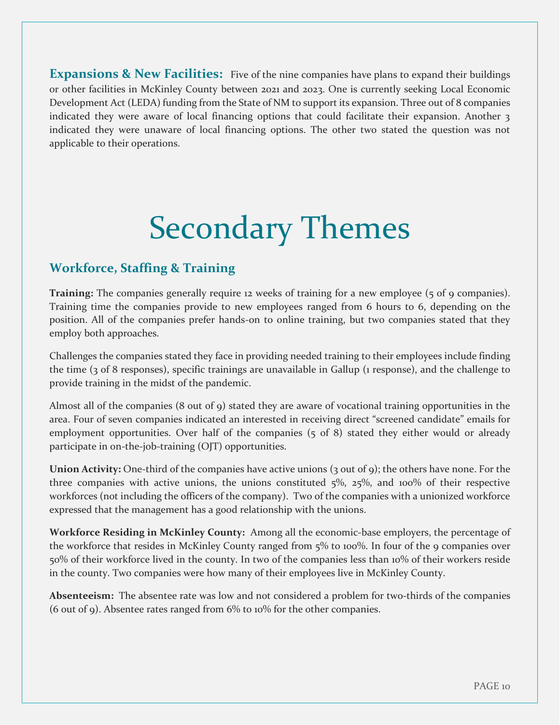**Expansions & New Facilities:** Five of the nine companies have plans to expand their buildings or other facilities in McKinley County between 2021 and 2023. One is currently seeking Local Economic Development Act (LEDA) funding from the State of NM to support its expansion. Three out of 8 companies indicated they were aware of local financing options that could facilitate their expansion. Another 3 indicated they were unaware of local financing options. The other two stated the question was not applicable to their operations.

# Secondary Themes

#### **Workforce, Staffing & Training**

**Training:** The companies generally require 12 weeks of training for a new employee (5 of 9 companies). Training time the companies provide to new employees ranged from 6 hours to 6, depending on the position. All of the companies prefer hands-on to online training, but two companies stated that they employ both approaches.

Challenges the companies stated they face in providing needed training to their employees include finding the time (3 of 8 responses), specific trainings are unavailable in Gallup (1 response), and the challenge to provide training in the midst of the pandemic.

Almost all of the companies (8 out of 9) stated they are aware of vocational training opportunities in the area. Four of seven companies indicated an interested in receiving direct "screened candidate" emails for employment opportunities. Over half of the companies (5 of 8) stated they either would or already participate in on-the-job-training (OJT) opportunities.

**Union Activity:** One-third of the companies have active unions (3 out of 9); the others have none. For the three companies with active unions, the unions constituted 5%, 25%, and 100% of their respective workforces (not including the officers of the company). Two of the companies with a unionized workforce expressed that the management has a good relationship with the unions.

**Workforce Residing in McKinley County:** Among all the economic-base employers, the percentage of the workforce that resides in McKinley County ranged from  $5\%$  to 100%. In four of the 9 companies over 50% of their workforce lived in the county. In two of the companies less than 10% of their workers reside in the county. Two companies were how many of their employees live in McKinley County.

**Absenteeism:** The absentee rate was low and not considered a problem for two-thirds of the companies (6 out of 9). Absentee rates ranged from 6% to 10% for the other companies.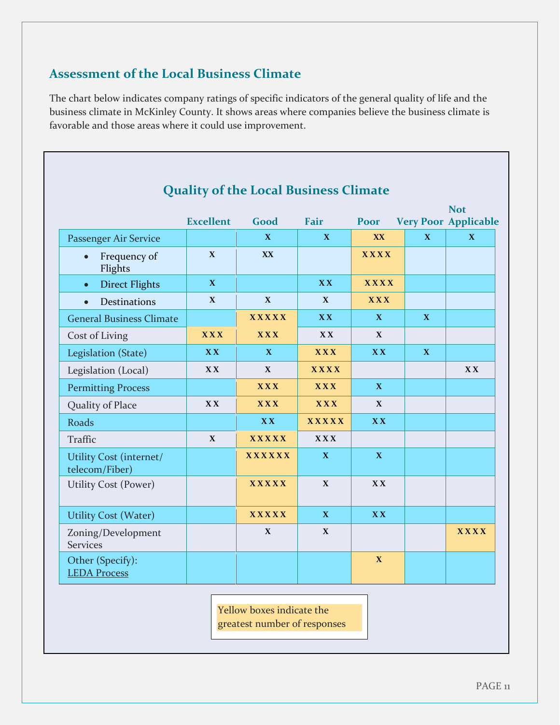#### **Assessment of the Local Business Climate**

The chart below indicates company ratings of specific indicators of the general quality of life and the business climate in McKinley County. It shows areas where companies believe the business climate is favorable and those areas where it could use improvement.

| <b>Quality of the Local Business Climate</b> |                  |               |              |              |              |                                           |
|----------------------------------------------|------------------|---------------|--------------|--------------|--------------|-------------------------------------------|
|                                              | <b>Excellent</b> | Good          | <b>Fair</b>  | Poor         |              | <b>Not</b><br><b>Very Poor Applicable</b> |
| Passenger Air Service                        |                  | $\mathbf X$   | $\mathbf{X}$ | XX           | X            | $\mathbf{X}$                              |
| Frequency of<br>Flights                      | $\mathbf X$      | XX            |              | <b>XXXX</b>  |              |                                           |
| <b>Direct Flights</b><br>$\bullet$           | $\mathbf{X}$     |               | <b>XX</b>    | <b>XXXX</b>  |              |                                           |
| <b>Destinations</b><br>$\bullet$             | X                | $\mathbf{X}$  | $\mathbf{X}$ | <b>XXX</b>   |              |                                           |
| <b>General Business Climate</b>              |                  | <b>XXXXX</b>  | <b>XX</b>    | $\mathbf{X}$ | $\mathbf{X}$ |                                           |
| Cost of Living                               | <b>XXX</b>       | <b>XXX</b>    | <b>XX</b>    | $\mathbf X$  |              |                                           |
| Legislation (State)                          | <b>XX</b>        | X             | <b>XXX</b>   | <b>XX</b>    | $\mathbf{X}$ |                                           |
| Legislation (Local)                          | <b>XX</b>        | $\mathbf X$   | <b>XXXX</b>  |              |              | <b>XX</b>                                 |
| <b>Permitting Process</b>                    |                  | <b>XXX</b>    | <b>XXX</b>   | $\mathbf{X}$ |              |                                           |
| Quality of Place                             | <b>XX</b>        | <b>XXX</b>    | <b>XXX</b>   | $\mathbf X$  |              |                                           |
| Roads                                        |                  | <b>XX</b>     | <b>XXXXX</b> | <b>XX</b>    |              |                                           |
| Traffic                                      | $\mathbf X$      | <b>XXXXX</b>  | <b>XXX</b>   |              |              |                                           |
| Utility Cost (internet/<br>telecom/Fiber)    |                  | <b>XXXXXX</b> | $\mathbf{X}$ | $\mathbf X$  |              |                                           |
| <b>Utility Cost (Power)</b>                  |                  | <b>XXXXX</b>  | $\mathbf{X}$ | <b>XX</b>    |              |                                           |
| <b>Utility Cost (Water)</b>                  |                  | <b>XXXXX</b>  | $\mathbf{X}$ | <b>XX</b>    |              |                                           |
| Zoning/Development<br><b>Services</b>        |                  | $\mathbf X$   | $\mathbf X$  |              |              | <b>XXXX</b>                               |
| Other (Specify):<br><b>LEDA Process</b>      |                  |               |              | $\mathbf X$  |              |                                           |

Yellow boxes indicate the greatest number of responses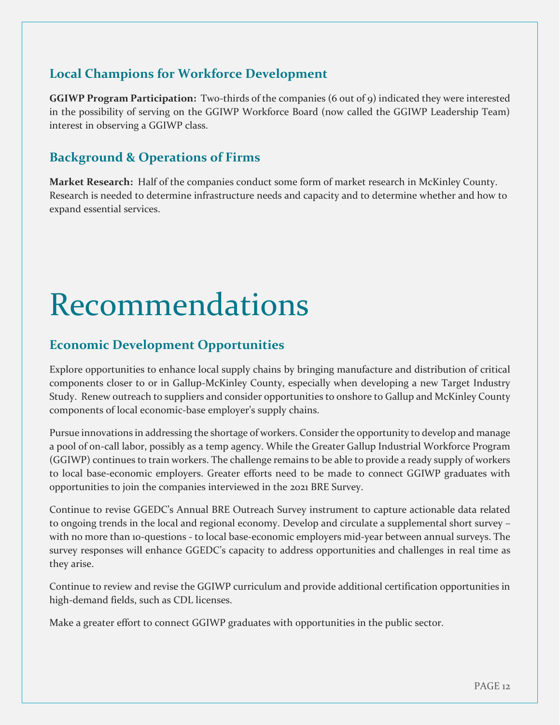#### **Local Champions for Workforce Development**

**GGIWP Program Participation:** Two-thirds of the companies (6 out of 9) indicated they were interested in the possibility of serving on the GGIWP Workforce Board (now called the GGIWP Leadership Team) interest in observing a GGIWP class.

#### **Background & Operations of Firms**

**Market Research:** Half of the companies conduct some form of market research in McKinley County. Research is needed to determine infrastructure needs and capacity and to determine whether and how to expand essential services.

# Recommendations

#### **Economic Development Opportunities**

Explore opportunities to enhance local supply chains by bringing manufacture and distribution of critical components closer to or in Gallup-McKinley County, especially when developing a new Target Industry Study. Renew outreach to suppliers and consider opportunities to onshore to Gallup and McKinley County components of local economic-base employer's supply chains.

Pursue innovations in addressing the shortage of workers. Consider the opportunity to develop and manage a pool of on-call labor, possibly as a temp agency. While the Greater Gallup Industrial Workforce Program (GGIWP) continues to train workers. The challenge remains to be able to provide a ready supply of workers to local base-economic employers. Greater efforts need to be made to connect GGIWP graduates with opportunities to join the companies interviewed in the 2021 BRE Survey.

Continue to revise GGEDC's Annual BRE Outreach Survey instrument to capture actionable data related to ongoing trends in the local and regional economy. Develop and circulate a supplemental short survey – with no more than 10-questions - to local base-economic employers mid-year between annual surveys. The survey responses will enhance GGEDC's capacity to address opportunities and challenges in real time as they arise.

Continue to review and revise the GGIWP curriculum and provide additional certification opportunities in high-demand fields, such as CDL licenses.

Make a greater effort to connect GGIWP graduates with opportunities in the public sector.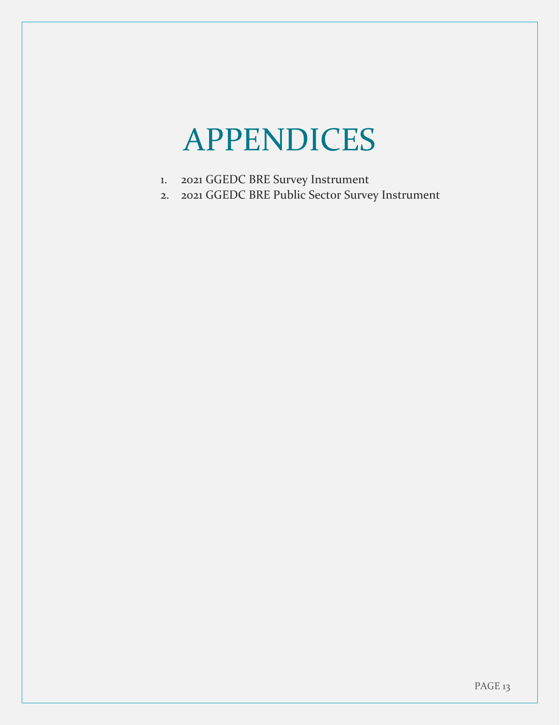# APPENDICES

- 1. 2021 GGEDC BRE Survey Instrument
- 2. 2021 GGEDC BRE Public Sector Survey Instrument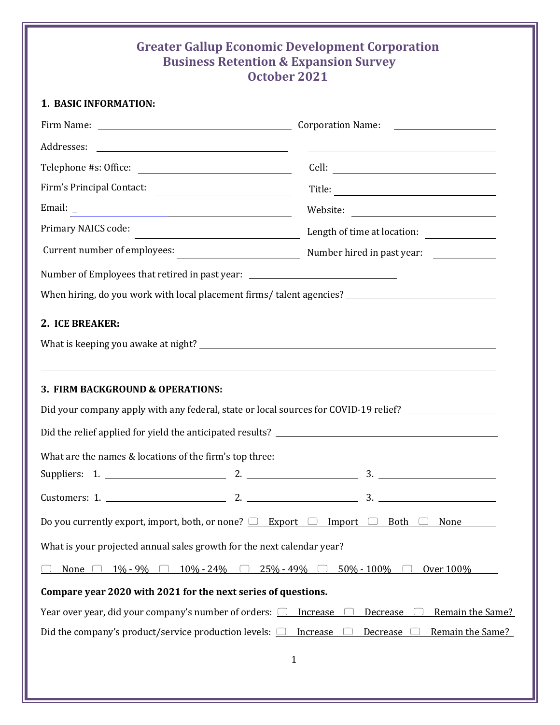#### **Greater Gallup Economic Development Corporation Business Retention & Expansion Survey October 2021**

|  | 1. BASIC INFORMATION: |
|--|-----------------------|
|--|-----------------------|

|                                                                                                                                                                                                                                                             |           |                | <u> 1980 - Johann Harry Harry Harry Harry Harry Harry Harry Harry Harry Harry Harry Harry Harry Harry Harry Harry Harry Harry Harry Harry Harry Harry Harry Harry Harry Harry Harry Harry Harry Harry Harry Harry Harry Harry Ha</u> |
|-------------------------------------------------------------------------------------------------------------------------------------------------------------------------------------------------------------------------------------------------------------|-----------|----------------|--------------------------------------------------------------------------------------------------------------------------------------------------------------------------------------------------------------------------------------|
|                                                                                                                                                                                                                                                             |           |                |                                                                                                                                                                                                                                      |
| Firm's Principal Contact:                                                                                                                                                                                                                                   |           |                |                                                                                                                                                                                                                                      |
|                                                                                                                                                                                                                                                             |           |                |                                                                                                                                                                                                                                      |
| Primary NAICS code:<br><u> The Communication of the Communication of the Communication of the Communication of the Communication of the Communication of the Communication of the Communication of the Communication of the Communication of the Commun</u> |           |                | Length of time at location:                                                                                                                                                                                                          |
|                                                                                                                                                                                                                                                             |           |                |                                                                                                                                                                                                                                      |
| Number of Employees that retired in past year: _________________________________                                                                                                                                                                            |           |                |                                                                                                                                                                                                                                      |
| When hiring, do you work with local placement firms/talent agencies? _______________________________                                                                                                                                                        |           |                |                                                                                                                                                                                                                                      |
| 2. ICE BREAKER:                                                                                                                                                                                                                                             |           |                |                                                                                                                                                                                                                                      |
|                                                                                                                                                                                                                                                             |           |                |                                                                                                                                                                                                                                      |
| ,我们也不会有什么。""我们的人,我们也不会有什么?""我们的人,我们也不会有什么?""我们的人,我们也不会有什么?""我们的人,我们也不会有什么?""我们的人<br>3. FIRM BACKGROUND & OPERATIONS:                                                                                                                                        |           |                |                                                                                                                                                                                                                                      |
| Did your company apply with any federal, state or local sources for COVID-19 relief? ______________                                                                                                                                                         |           |                |                                                                                                                                                                                                                                      |
|                                                                                                                                                                                                                                                             |           |                |                                                                                                                                                                                                                                      |
| What are the names & locations of the firm's top three:                                                                                                                                                                                                     |           |                |                                                                                                                                                                                                                                      |
|                                                                                                                                                                                                                                                             |           |                |                                                                                                                                                                                                                                      |
|                                                                                                                                                                                                                                                             |           |                |                                                                                                                                                                                                                                      |
| Do you currently export, import, both, or none? $\Box$ Export                                                                                                                                                                                               |           | Import         | <b>Both</b><br>None                                                                                                                                                                                                                  |
| What is your projected annual sales growth for the next calendar year?                                                                                                                                                                                      |           |                |                                                                                                                                                                                                                                      |
| $10\% - 24\%$<br>None<br>1% - 9%                                                                                                                                                                                                                            | 25% - 49% | $50\% - 100\%$ | Over 100%                                                                                                                                                                                                                            |
| Compare year 2020 with 2021 for the next series of questions.                                                                                                                                                                                               |           |                |                                                                                                                                                                                                                                      |
| Year over year, did your company's number of orders: $\Box$                                                                                                                                                                                                 |           | Increase       | Remain the Same?<br>Decrease                                                                                                                                                                                                         |
| Did the company's product/service production levels: $\Box$                                                                                                                                                                                                 |           | Increase       | Remain the Same?<br>Decrease                                                                                                                                                                                                         |
|                                                                                                                                                                                                                                                             |           | 1              |                                                                                                                                                                                                                                      |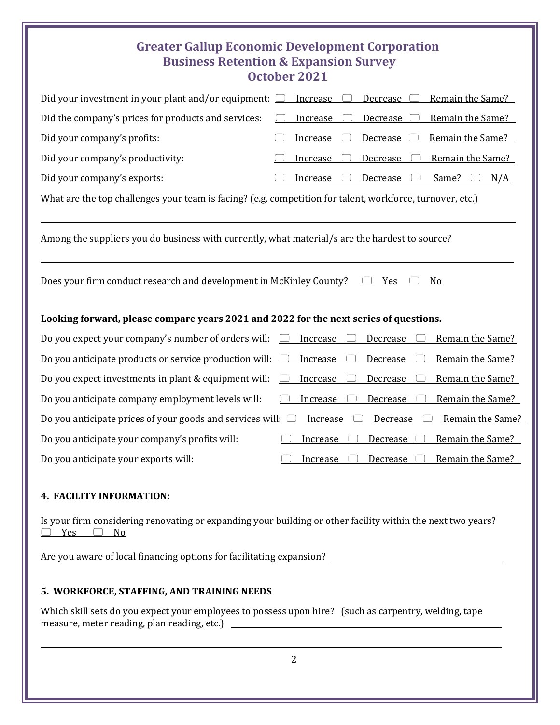#### **Greater Gallup Economic Development Corporation Business Retention & Expansion Survey October 2021**

| Did your investment in your plant and/or equipment:                                                       | Remain the Same?<br>Increase<br>Decrease |
|-----------------------------------------------------------------------------------------------------------|------------------------------------------|
| Did the company's prices for products and services:                                                       | Remain the Same?<br>Increase<br>Decrease |
| Did your company's profits:                                                                               | Remain the Same?<br>Increase<br>Decrease |
| Did your company's productivity:                                                                          | Remain the Same?<br>Decrease<br>Increase |
| Did your company's exports:                                                                               | Decrease<br>Same?<br>Increase<br>N/A     |
| What are the top challenges your team is facing? (e.g. competition for talent, workforce, turnover, etc.) |                                          |
| Among the suppliers you do business with currently, what material/s are the hardest to source?            |                                          |
| Does your firm conduct research and development in McKinley County?                                       | N <sub>o</sub><br>Yes                    |
| Looking forward, please compare years 2021 and 2022 for the next series of questions.                     |                                          |
| Do you expect your company's number of orders will:                                                       | Increase<br>Remain the Same?<br>Decrease |
| Do you anticipate products or service production will:                                                    | Remain the Same?<br>Increase<br>Decrease |
| Do you expect investments in plant & equipment will:                                                      | Remain the Same?<br>Increase<br>Decrease |
| Do you anticipate company employment levels will:                                                         | Increase<br>Remain the Same?<br>Decrease |
| Do you anticipate prices of your goods and services will:                                                 | Remain the Same?<br>Increase<br>Decrease |
| Do you anticipate your company's profits will:                                                            | Remain the Same?<br>Increase<br>Decrease |
| Do you anticipate your exports will:                                                                      | Remain the Same?<br>Increase<br>Decrease |
| 4. FACILITY INFORMATION:                                                                                  |                                          |

Is your firm considering renovating or expanding your building or other facility within the next two years?  $P$  Yes  $P$  No

Are you aware of local financing options for facilitating expansion?

#### **5. WORKFORCE, STAFFING, AND TRAINING NEEDS**

Which skill sets do you expect your employees to possess upon hire? (such as carpentry, welding, tape measure, meter reading, plan reading, etc.)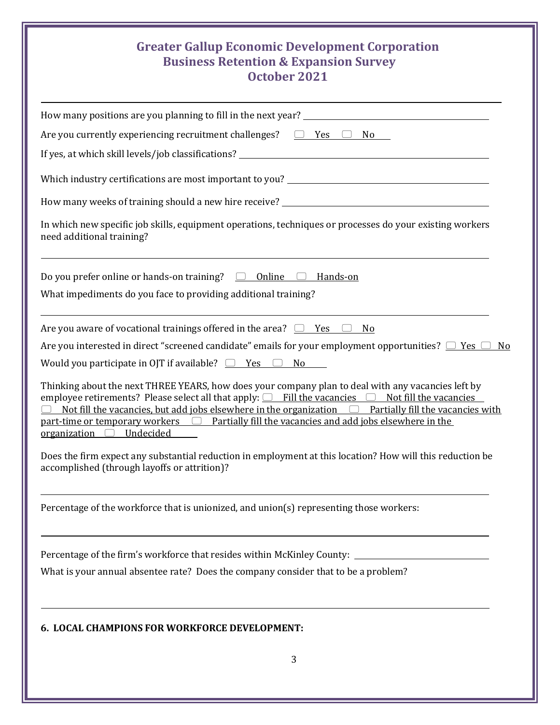#### **Greater Gallup Economic Development Corporation Business Retention & Expansion Survey**

| October 2021                                                                                                                                                                                                                                                                                                                                                                                                                                                     |
|------------------------------------------------------------------------------------------------------------------------------------------------------------------------------------------------------------------------------------------------------------------------------------------------------------------------------------------------------------------------------------------------------------------------------------------------------------------|
|                                                                                                                                                                                                                                                                                                                                                                                                                                                                  |
| Are you currently experiencing recruitment challenges? $\Box$ Yes $\Box$ No                                                                                                                                                                                                                                                                                                                                                                                      |
|                                                                                                                                                                                                                                                                                                                                                                                                                                                                  |
| Which industry certifications are most important to you? ________________________                                                                                                                                                                                                                                                                                                                                                                                |
|                                                                                                                                                                                                                                                                                                                                                                                                                                                                  |
| In which new specific job skills, equipment operations, techniques or processes do your existing workers<br>need additional training?                                                                                                                                                                                                                                                                                                                            |
| Do you prefer online or hands-on training? $\Box$ Online $\Box$ Hands-on                                                                                                                                                                                                                                                                                                                                                                                         |
| What impediments do you face to providing additional training?                                                                                                                                                                                                                                                                                                                                                                                                   |
| Are you aware of vocational trainings offered in the area? $\Box$ Yes $\Box$ No<br>Are you interested in direct "screened candidate" emails for your employment opportunities? $\Box$ Yes $\Box$<br>No<br>Would you participate in OJT if available? $\Box$ Yes $\Box$ No                                                                                                                                                                                        |
| Thinking about the next THREE YEARS, how does your company plan to deal with any vacancies left by<br>employee retirements? Please select all that apply: $\Box$ Fill the vacancies $\Box$ Not fill the vacancies<br>Not fill the vacancies, but add jobs elsewhere in the organization $\Box$ Partially fill the vacancies with<br>$part-time$ or temporary workers $\Box$ Partially fill the vacancies and add jobs elsewhere in the<br>organization Undecided |
| Does the firm expect any substantial reduction in employment at this location? How will this reduction be<br>accomplished (through layoffs or attrition)?                                                                                                                                                                                                                                                                                                        |
| Percentage of the workforce that is unionized, and union(s) representing those workers:                                                                                                                                                                                                                                                                                                                                                                          |
| Percentage of the firm's workforce that resides within McKinley County: ___________________________                                                                                                                                                                                                                                                                                                                                                              |
| What is your annual absentee rate? Does the company consider that to be a problem?                                                                                                                                                                                                                                                                                                                                                                               |
| <b>6. LOCAL CHAMPIONS FOR WORKFORCE DEVELOPMENT:</b>                                                                                                                                                                                                                                                                                                                                                                                                             |
|                                                                                                                                                                                                                                                                                                                                                                                                                                                                  |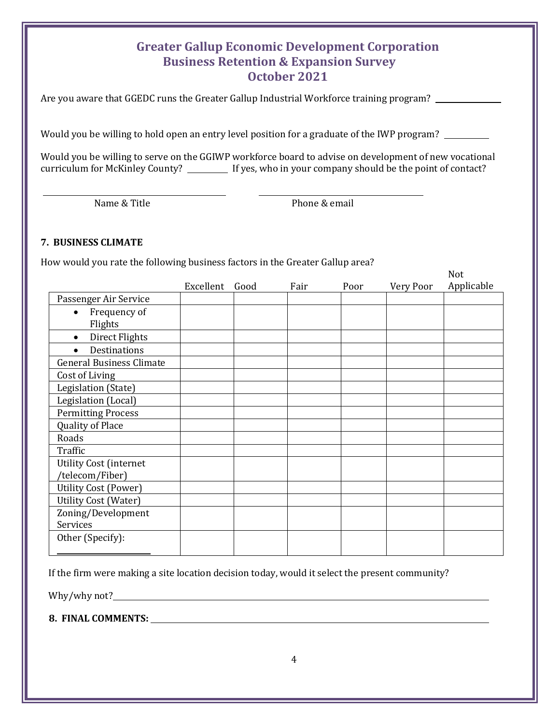#### **Greater Gallup Economic Development Corporation Business Retention & Expansion Survey October 2021**

Are you aware that GGEDC runs the Greater Gallup Industrial Workforce training program?

Would you be willing to hold open an entry level position for a graduate of the IWP program?

Would you be willing to serve on the GGIWP workforce board to advise on development of new vocational curriculum for McKinley County? \_\_\_\_\_\_\_\_ If yes, who in your company should be the point of contact?

Name & Title **Phone & email** 

#### **7. BUSINESS CLIMATE**

How would you rate the following business factors in the Greater Gallup area?

|                                      |           |      |      |      |           | Not        |
|--------------------------------------|-----------|------|------|------|-----------|------------|
|                                      | Excellent | Good | Fair | Poor | Very Poor | Applicable |
| Passenger Air Service                |           |      |      |      |           |            |
| Frequency of<br>$\bullet$<br>Flights |           |      |      |      |           |            |
| Direct Flights<br>$\bullet$          |           |      |      |      |           |            |
| <b>Destinations</b>                  |           |      |      |      |           |            |
| <b>General Business Climate</b>      |           |      |      |      |           |            |
| Cost of Living                       |           |      |      |      |           |            |
| Legislation (State)                  |           |      |      |      |           |            |
| Legislation (Local)                  |           |      |      |      |           |            |
| <b>Permitting Process</b>            |           |      |      |      |           |            |
| Quality of Place                     |           |      |      |      |           |            |
| Roads                                |           |      |      |      |           |            |
| Traffic                              |           |      |      |      |           |            |
| <b>Utility Cost (internet</b>        |           |      |      |      |           |            |
| /telecom/Fiber)                      |           |      |      |      |           |            |
| <b>Utility Cost (Power)</b>          |           |      |      |      |           |            |
| <b>Utility Cost (Water)</b>          |           |      |      |      |           |            |
| Zoning/Development                   |           |      |      |      |           |            |
| Services                             |           |      |      |      |           |            |
| Other (Specify):                     |           |      |      |      |           |            |

If the firm were making a site location decision today, would it select the present community?

Why/why not?

**8. FINAL COMMENTS:**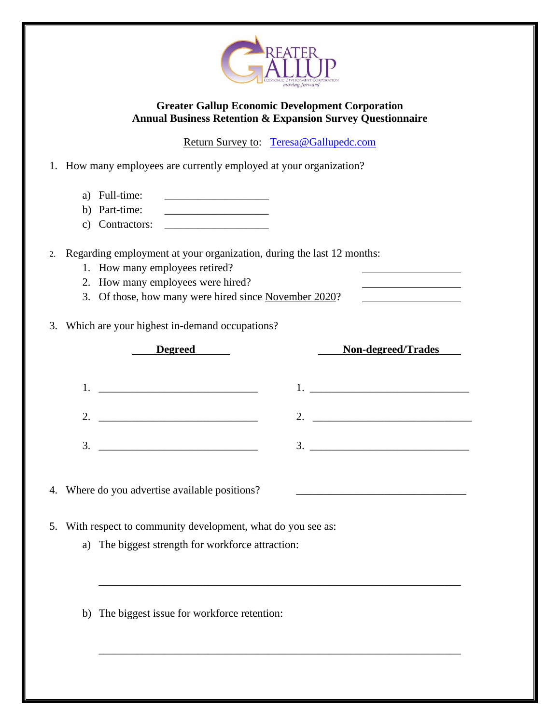

#### **Greater Gallup Economic Development Corporation Annual Business Retention & Expansion Survey Questionnaire**

Return Survey to: [Teresa@Gallupedc.com](mailto:Teresa@Gallupedc.com)

1. How many employees are currently employed at your organization?

- a) Full-time:
- b) Part-time:  $\qquad \qquad$
- c) Contractors: \_\_\_\_\_\_\_\_\_\_\_\_\_\_\_\_\_\_\_

2. Regarding employment at your organization, during the last 12 months:

- 1. How many employees retired?
- 2. How many employees were hired?
- 3. Of those, how many were hired since November 2020?
- 3. Which are your highest in-demand occupations?

| <b>Degreed</b>                                           | Non-degreed/Trades                     |
|----------------------------------------------------------|----------------------------------------|
| <u> 1980 - Johann John Stone, mars eta biztanleria (</u> | <u> 1980 - Andrea Albert III, poet</u> |
|                                                          |                                        |
|                                                          | 3                                      |

\_\_\_\_\_\_\_\_\_\_\_\_\_\_\_\_\_\_\_\_\_\_\_\_\_\_\_\_\_\_\_\_\_\_\_\_\_\_\_\_\_\_\_\_\_\_\_\_\_\_\_\_\_\_\_\_\_\_\_\_\_\_\_\_\_\_

\_\_\_\_\_\_\_\_\_\_\_\_\_\_\_\_\_\_\_\_\_\_\_\_\_\_\_\_\_\_\_\_\_\_\_\_\_\_\_\_\_\_\_\_\_\_\_\_\_\_\_\_\_\_\_\_\_\_\_\_\_\_\_\_\_\_

4. Where do you advertise available positions?

- 5. With respect to community development, what do you see as:
	- a) The biggest strength for workforce attraction:
	- b) The biggest issue for workforce retention: